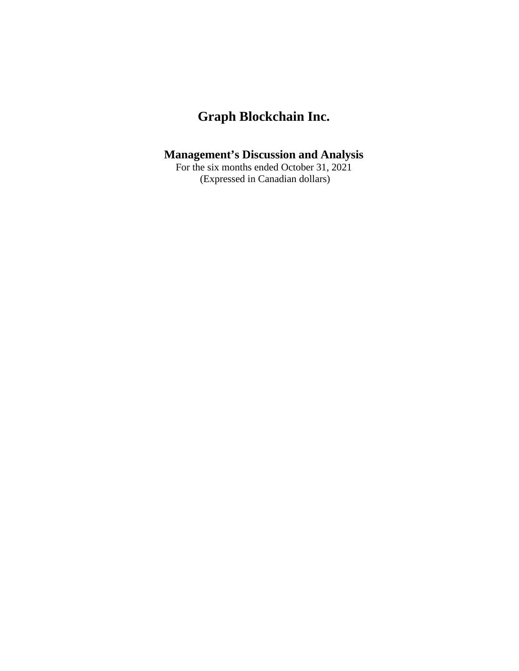### **Management's Discussion and Analysis**

For the six months ended October 31, 2021 (Expressed in Canadian dollars)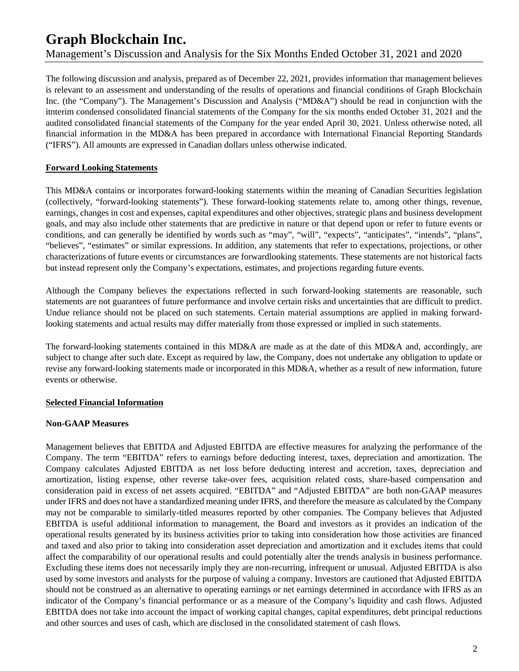The following discussion and analysis, prepared as of December 22, 2021, provides information that management believes is relevant to an assessment and understanding of the results of operations and financial conditions of Graph Blockchain Inc. (the "Company"). The Management's Discussion and Analysis ("MD&A") should be read in conjunction with the itnterim condensed consolidated financial statements of the Company for the six months ended October 31, 2021 and the audited consolidated financial statements of the Company for the year ended April 30, 2021. Unless otherwise noted, all financial information in the MD&A has been prepared in accordance with International Financial Reporting Standards ("IFRS"). All amounts are expressed in Canadian dollars unless otherwise indicated.

### **Forward Looking Statements**

This MD&A contains or incorporates forward-looking statements within the meaning of Canadian Securities legislation (collectively, "forward-looking statements"). These forward-looking statements relate to, among other things, revenue, earnings, changes in cost and expenses, capital expenditures and other objectives, strategic plans and business development goals, and may also include other statements that are predictive in nature or that depend upon or refer to future events or conditions, and can generally be identified by words such as "may", "will", "expects", "anticipates", "intends", "plans", "believes", "estimates" or similar expressions. In addition, any statements that refer to expectations, projections, or other characterizations of future events or circumstances are forwardlooking statements. These statements are not historical facts but instead represent only the Company's expectations, estimates, and projections regarding future events.

Although the Company believes the expectations reflected in such forward-looking statements are reasonable, such statements are not guarantees of future performance and involve certain risks and uncertainties that are difficult to predict. Undue reliance should not be placed on such statements. Certain material assumptions are applied in making forwardlooking statements and actual results may differ materially from those expressed or implied in such statements.

The forward-looking statements contained in this MD&A are made as at the date of this MD&A and, accordingly, are subject to change after such date. Except as required by law, the Company, does not undertake any obligation to update or revise any forward-looking statements made or incorporated in this MD&A, whether as a result of new information, future events or otherwise.

#### **Selected Financial Information**

#### **Non-GAAP Measures**

Management believes that EBITDA and Adjusted EBITDA are effective measures for analyzing the performance of the Company. The term "EBITDA" refers to earnings before deducting interest, taxes, depreciation and amortization. The Company calculates Adjusted EBITDA as net loss before deducting interest and accretion, taxes, depreciation and amortization, listing expense, other reverse take-over fees, acquisition related costs, share-based compensation and consideration paid in excess of net assets acquired. "EBITDA" and "Adjusted EBITDA" are both non-GAAP measures under IFRS and does not have a standardized meaning under IFRS, and therefore the measure as calculated by the Company may not be comparable to similarly-titled measures reported by other companies. The Company believes that Adjusted EBITDA is useful additional information to management, the Board and investors as it provides an indication of the operational results generated by its business activities prior to taking into consideration how those activities are financed and taxed and also prior to taking into consideration asset depreciation and amortization and it excludes items that could affect the comparability of our operational results and could potentially alter the trends analysis in business performance. Excluding these items does not necessarily imply they are non-recurring, infrequent or unusual. Adjusted EBITDA is also used by some investors and analysts for the purpose of valuing a company. Investors are cautioned that Adjusted EBITDA should not be construed as an alternative to operating earnings or net earnings determined in accordance with IFRS as an indicator of the Company's financial performance or as a measure of the Company's liquidity and cash flows. Adjusted EBITDA does not take into account the impact of working capital changes, capital expenditures, debt principal reductions and other sources and uses of cash, which are disclosed in the consolidated statement of cash flows.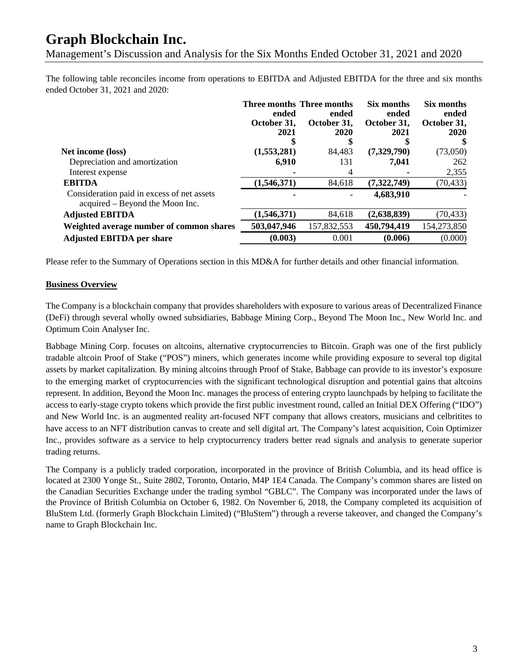Management's Discussion and Analysis for the Six Months Ended October 31, 2021 and 2020

The following table reconciles income from operations to EBITDA and Adjusted EBITDA for the three and six months ended October 31, 2021 and 2020:

|                                                                               | ended            | Three months Three months<br>ended | Six months<br>ended | Six months<br>ended |
|-------------------------------------------------------------------------------|------------------|------------------------------------|---------------------|---------------------|
|                                                                               | October 31.      | October 31.                        | October 31,         | October 31,         |
|                                                                               | 2021             | 2020                               | 2021                | <b>2020</b>         |
| Net income (loss)                                                             | ъ<br>(1,553,281) | 84,483                             | (7,329,790)         | (73,050)            |
| Depreciation and amortization                                                 | 6,910            | 131                                | 7.041               | 262                 |
| Interest expense                                                              |                  |                                    |                     | 2,355               |
| <b>EBITDA</b>                                                                 | (1,546,371)      | 84,618                             | (7,322,749)         | (70, 433)           |
| Consideration paid in excess of net assets<br>acquired – Beyond the Moon Inc. |                  |                                    | 4,683,910           |                     |
| <b>Adjusted EBITDA</b>                                                        | (1,546,371)      | 84,618                             | (2,638,839)         | (70, 433)           |
| Weighted average number of common shares                                      | 503,047,946      | 157,832,553                        | 450,794,419         | 154,273,850         |
| <b>Adjusted EBITDA per share</b>                                              | (0.003)          | 0.001                              | (0.006)             | (0.000)             |

Please refer to the Summary of Operations section in this MD&A for further details and other financial information.

#### **Business Overview**

The Company is a blockchain company that provides shareholders with exposure to various areas of Decentralized Finance (DeFi) through several wholly owned subsidiaries, Babbage Mining Corp., Beyond The Moon Inc., New World Inc. and Optimum Coin Analyser Inc.

Babbage Mining Corp. focuses on altcoins, alternative cryptocurrencies to Bitcoin. Graph was one of the first publicly tradable altcoin Proof of Stake ("POS") miners, which generates income while providing exposure to several top digital assets by market capitalization. By mining altcoins through Proof of Stake, Babbage can provide to its investor's exposure to the emerging market of cryptocurrencies with the significant technological disruption and potential gains that altcoins represent. In addition, Beyond the Moon Inc. manages the process of entering crypto launchpads by helping to facilitate the access to early-stage crypto tokens which provide the first public investment round, called an Initial DEX Offering ("IDO") and New World Inc. is an augmented reality art-focused NFT company that allows creators, musicians and celbritites to have access to an NFT distribution canvas to create and sell digital art. The Company's latest acquisition, Coin Optimizer Inc., provides software as a service to help cryptocurrency traders better read signals and analysis to generate superior trading returns.

The Company is a publicly traded corporation, incorporated in the province of British Columbia, and its head office is located at 2300 Yonge St., Suite 2802, Toronto, Ontario, M4P 1E4 Canada. The Company's common shares are listed on the Canadian Securities Exchange under the trading symbol "GBLC". The Company was incorporated under the laws of the Province of British Columbia on October 6, 1982. On November 6, 2018, the Company completed its acquisition of BluStem Ltd. (formerly Graph Blockchain Limited) ("BluStem") through a reverse takeover, and changed the Company's name to Graph Blockchain Inc.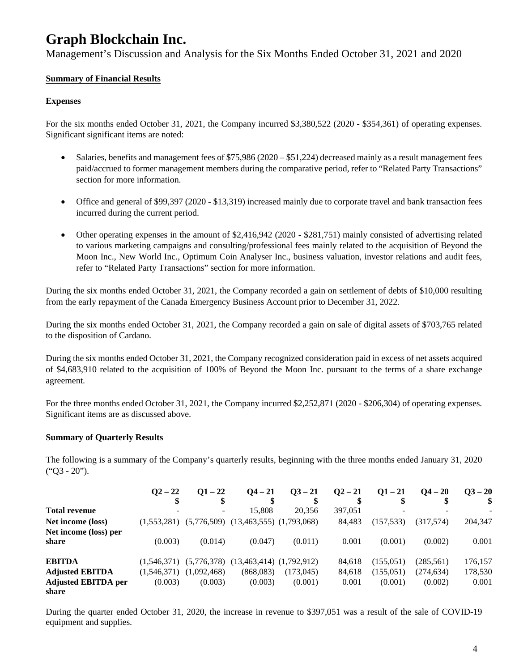Management's Discussion and Analysis for the Six Months Ended October 31, 2021 and 2020

#### **Summary of Financial Results**

#### **Expenses**

For the six months ended October 31, 2021, the Company incurred \$3,380,522 (2020 - \$354,361) of operating expenses. Significant significant items are noted:

- Salaries, benefits and management fees of  $$75,986 (2020 $51,224)$  decreased mainly as a result management fees paid/accrued to former management members during the comparative period, refer to "Related Party Transactions" section for more information.
- Office and general of \$99,397 (2020 \$13,319) increased mainly due to corporate travel and bank transaction fees incurred during the current period.
- Other operating expenses in the amount of \$2,416,942 (2020 \$281,751) mainly consisted of advertising related to various marketing campaigns and consulting/professional fees mainly related to the acquisition of Beyond the Moon Inc., New World Inc., Optimum Coin Analyser Inc., business valuation, investor relations and audit fees, refer to "Related Party Transactions" section for more information.

During the six months ended October 31, 2021, the Company recorded a gain on settlement of debts of \$10,000 resulting from the early repayment of the Canada Emergency Business Account prior to December 31, 2022.

During the six months ended October 31, 2021, the Company recorded a gain on sale of digital assets of \$703,765 related to the disposition of Cardano.

During the six months ended October 31, 2021, the Company recognized consideration paid in excess of net assets acquired of \$4,683,910 related to the acquisition of 100% of Beyond the Moon Inc. pursuant to the terms of a share exchange agreement.

For the three months ended October 31, 2021, the Company incurred \$2,252,871 (2020 - \$206,304) of operating expenses. Significant items are as discussed above.

#### **Summary of Quarterly Results**

The following is a summary of the Company's quarterly results, beginning with the three months ended January 31, 2020 ("Q3 - 20").

|                            | $Q^2 - 22$  | $Q1 - 22$   | $Q_4 - 21$                                 | $03 - 21$  | $Q^2 - 21$ | $O1 - 21$  | $Q_4 - 20$ | $Q_{}^3 - 20$ |
|----------------------------|-------------|-------------|--------------------------------------------|------------|------------|------------|------------|---------------|
|                            |             | \$          |                                            |            |            |            |            | \$            |
| <b>Total revenue</b>       |             |             | 15.808                                     | 20,356     | 397,051    |            |            |               |
| Net income (loss)          | (1.553.281) |             | $(5,776,509)$ $(13,463,555)$ $(1,793,068)$ |            | 84,483     | (157, 533) | (317,574)  | 204,347       |
| Net income (loss) per      |             |             |                                            |            |            |            |            |               |
| share                      | (0.003)     | (0.014)     | (0.047)                                    | (0.011)    | 0.001      | (0.001)    | (0.002)    | 0.001         |
| <b>EBITDA</b>              | (1.546.371) | (5,776,378) | $(13, 463, 414)$ $(1, 792, 912)$           |            | 84,618     | (155, 051) | (285,561)  | 176,157       |
| <b>Adjusted EBITDA</b>     | (1,546,371) | (1,092,468) | (868,083)                                  | (173, 045) | 84,618     | (155, 051) | (274, 634) | 178,530       |
| <b>Adjusted EBITDA per</b> | (0.003)     | (0.003)     | (0.003)                                    | (0.001)    | 0.001      | (0.001)    | (0.002)    | 0.001         |
| share                      |             |             |                                            |            |            |            |            |               |

During the quarter ended October 31, 2020, the increase in revenue to \$397,051 was a result of the sale of COVID-19 equipment and supplies.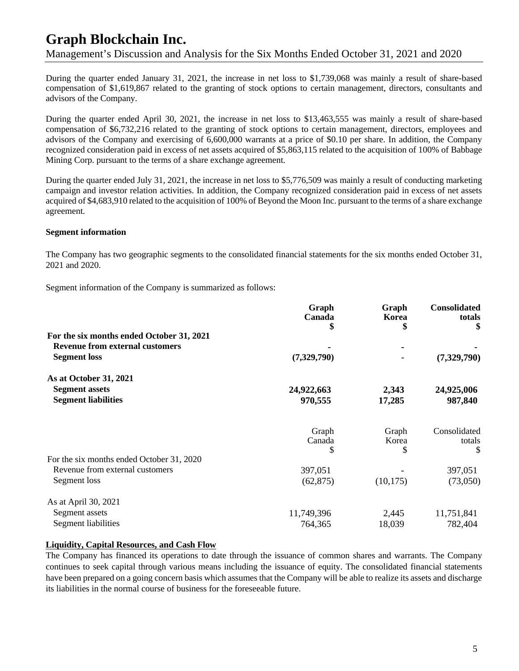### **Graph Blockchain Inc.** Management's Discussion and Analysis for the Six Months Ended October 31, 2021 and 2020

During the quarter ended January 31, 2021, the increase in net loss to \$1,739,068 was mainly a result of share-based compensation of \$1,619,867 related to the granting of stock options to certain management, directors, consultants and advisors of the Company.

During the quarter ended April 30, 2021, the increase in net loss to \$13,463,555 was mainly a result of share-based compensation of \$6,732,216 related to the granting of stock options to certain management, directors, employees and advisors of the Company and exercising of 6,600,000 warrants at a price of \$0.10 per share. In addition, the Company recognized consideration paid in excess of net assets acquired of \$5,863,115 related to the acquisition of 100% of Babbage Mining Corp. pursuant to the terms of a share exchange agreement.

During the quarter ended July 31, 2021, the increase in net loss to \$5,776,509 was mainly a result of conducting marketing campaign and investor relation activities. In addition, the Company recognized consideration paid in excess of net assets acquired of \$4,683,910 related to the acquisition of 100% of Beyond the Moon Inc. pursuant to the terms of a share exchange agreement.

#### **Segment information**

The Company has two geographic segments to the consolidated financial statements for the six months ended October 31, 2021 and 2020.

Segment information of the Company is summarized as follows:

|                                           | Graph<br>Canada | Graph<br>Korea | Consolidated<br>totals<br>\$ |
|-------------------------------------------|-----------------|----------------|------------------------------|
| For the six months ended October 31, 2021 |                 |                |                              |
| <b>Revenue from external customers</b>    |                 |                |                              |
| <b>Segment loss</b>                       | (7,329,790)     |                | (7,329,790)                  |
| As at October 31, 2021                    |                 |                |                              |
| <b>Segment assets</b>                     | 24,922,663      | 2,343          | 24,925,006                   |
| <b>Segment liabilities</b>                | 970,555         | 17,285         | 987,840                      |
|                                           | Graph           | Graph          | Consolidated                 |
|                                           | Canada          | Korea          | totals                       |
|                                           | S               | \$             | \$                           |
| For the six months ended October 31, 2020 |                 |                |                              |
| Revenue from external customers           | 397,051         |                | 397,051                      |
| Segment loss                              | (62, 875)       | (10, 175)      | (73,050)                     |
| As at April 30, 2021                      |                 |                |                              |
| Segment assets                            | 11,749,396      | 2,445          | 11,751,841                   |
| <b>Segment liabilities</b>                | 764,365         | 18,039         | 782,404                      |

#### **Liquidity, Capital Resources, and Cash Flow**

The Company has financed its operations to date through the issuance of common shares and warrants. The Company continues to seek capital through various means including the issuance of equity. The consolidated financial statements have been prepared on a going concern basis which assumes that the Company will be able to realize its assets and discharge its liabilities in the normal course of business for the foreseeable future.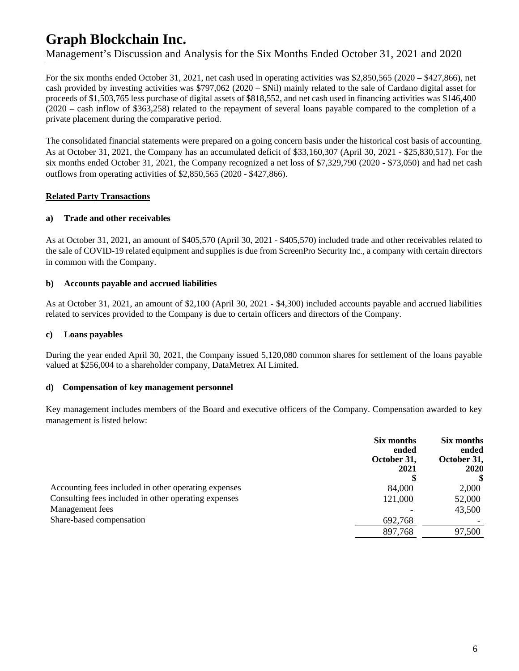## **Graph Blockchain Inc.** Management's Discussion and Analysis for the Six Months Ended October 31, 2021 and 2020

For the six months ended October 31, 2021, net cash used in operating activities was \$2,850,565 (2020 – \$427,866), net cash provided by investing activities was \$797,062 (2020 – \$Nil) mainly related to the sale of Cardano digital asset for proceeds of \$1,503,765 less purchase of digital assets of \$818,552, and net cash used in financing activities was \$146,400 (2020 – cash inflow of \$363,258) related to the repayment of several loans payable compared to the completion of a private placement during the comparative period.

The consolidated financial statements were prepared on a going concern basis under the historical cost basis of accounting. As at October 31, 2021, the Company has an accumulated deficit of \$33,160,307 (April 30, 2021 - \$25,830,517). For the six months ended October 31, 2021, the Company recognized a net loss of \$7,329,790 (2020 - \$73,050) and had net cash outflows from operating activities of \$2,850,565 (2020 - \$427,866).

#### **Related Party Transactions**

#### **a) Trade and other receivables**

As at October 31, 2021, an amount of \$405,570 (April 30, 2021 - \$405,570) included trade and other receivables related to the sale of COVID-19 related equipment and supplies is due from ScreenPro Security Inc., a company with certain directors in common with the Company.

#### **b) Accounts payable and accrued liabilities**

As at October 31, 2021, an amount of \$2,100 (April 30, 2021 - \$4,300) included accounts payable and accrued liabilities related to services provided to the Company is due to certain officers and directors of the Company.

#### **c) Loans payables**

During the year ended April 30, 2021, the Company issued 5,120,080 common shares for settlement of the loans payable valued at \$256,004 to a shareholder company, DataMetrex AI Limited.

#### **d) Compensation of key management personnel**

Key management includes members of the Board and executive officers of the Company. Compensation awarded to key management is listed below:

|                                                      | Six months<br>ended<br>October 31,<br>2021 | Six months<br>ended<br>October 31,<br><b>2020</b> |
|------------------------------------------------------|--------------------------------------------|---------------------------------------------------|
| Accounting fees included in other operating expenses | 84,000                                     | 2,000                                             |
| Consulting fees included in other operating expenses | 121,000                                    | 52,000                                            |
| Management fees                                      |                                            | 43,500                                            |
| Share-based compensation                             | 692,768                                    |                                                   |
|                                                      | 897,768                                    | 97,500                                            |